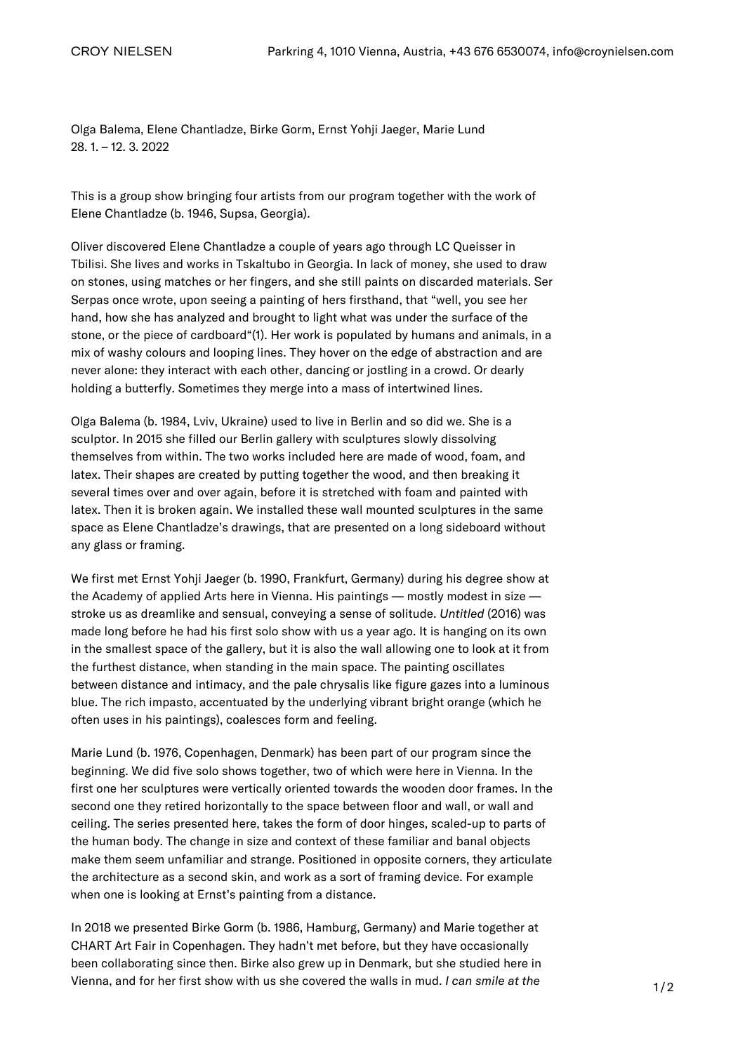[Olga Balema](https://croynielsen.com/artists/olga-balema/), Elene Chantladze, [Birke Gorm](https://croynielsen.com/artists/birke-gorm/), [Ernst Yohji Jaeger,](https://croynielsen.com/artists/ernst-yohji-jaeger/) [Marie Lund](https://croynielsen.com/artists/marie-lund/) 28. 1. – 12. 3. 2022

This is a group show bringing four artists from our program together with the work of Elene Chantladze (b. 1946, Supsa, Georgia).

Oliver discovered Elene Chantladze a couple of years ago through LC Queisser in Tbilisi. She lives and works in Tskaltubo in Georgia. In lack of money, she used to draw on stones, using matches or her fingers, and she still paints on discarded materials. Ser Serpas once wrote, upon seeing a painting of hers firsthand, that "well, you see her hand, how she has analyzed and brought to light what was under the surface of the stone, or the piece of cardboard"(1). Her work is populated by humans and animals, in a mix of washy colours and looping lines. They hover on the edge of abstraction and are never alone: they interact with each other, dancing or jostling in a crowd. Or dearly holding a butterfly. Sometimes they merge into a mass of intertwined lines.

Olga Balema (b. 1984, Lviv, Ukraine) used to live in Berlin and so did we. She is a sculptor. In 2015 she filled our Berlin gallery with sculptures slowly dissolving themselves from within. The two works included here are made of wood, foam, and latex. Their shapes are created by putting together the wood, and then breaking it several times over and over again, before it is stretched with foam and painted with latex. Then it is broken again. We installed these wall mounted sculptures in the same space as Elene Chantladze's drawings, that are presented on a long sideboard without any glass or framing.

We first met Ernst Yohji Jaeger (b. 1990, Frankfurt, Germany) during his degree show at the Academy of applied Arts here in Vienna. His paintings — mostly modest in size stroke us as dreamlike and sensual, conveying a sense of solitude. Untitled (2016) was made long before he had his first solo show with us a year ago. It is hanging on its own in the smallest space of the gallery, but it is also the wall allowing one to look at it from the furthest distance, when standing in the main space. The painting oscillates between distance and intimacy, and the pale chrysalis like figure gazes into a luminous blue. The rich impasto, accentuated by the underlying vibrant bright orange (which he often uses in his paintings), coalesces form and feeling.

Marie Lund (b. 1976, Copenhagen, Denmark) has been part of our program since the beginning. We did five solo shows together, two of which were here in Vienna. In the first one her sculptures were vertically oriented towards the wooden door frames. In the second one they retired horizontally to the space between floor and wall, or wall and ceiling. The series presented here, takes the form of door hinges, scaled-up to parts of the human body. The change in size and context of these familiar and banal objects make them seem unfamiliar and strange. Positioned in opposite corners, they articulate the architecture as a second skin, and work as a sort of framing device. For example when one is looking at Ernst's painting from a distance.

In 2018 we presented Birke Gorm (b. 1986, Hamburg, Germany) and Marie together at CHART Art Fair in Copenhagen. They hadn't met before, but they have occasionally been collaborating since then. Birke also grew up in Denmark, but she studied here in Vienna, and for her first show with us she covered the walls in mud. I can smile at the